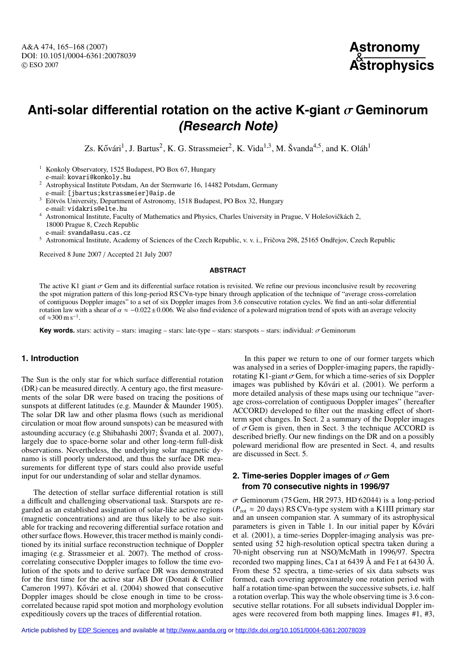

# **Anti-solar differential rotation on the active K-giant** σ **Geminorum (Research Note)**

Zs. Kővári<sup>1</sup>, J. Bartus<sup>2</sup>, K. G. Strassmeier<sup>2</sup>, K. Vida<sup>1,3</sup>, M. Švanda<sup>4,5</sup>, and K. Oláh<sup>1</sup>

- <sup>1</sup> Konkoly Observatory, 1525 Budapest, PO Box 67, Hungary e-mail: kovari@konkoly.hu <sup>2</sup> Astrophysical Institute Potsdam, An der Sternwarte 16, 14482 Potsdam, Germany
- e-mail: [jbartus;kstrassmeier]@aip.de
- <sup>3</sup> Eötvös University, Department of Astronomy, 1518 Budapest, PO Box 32, Hungary e-mail: vidakris@elte.hu
- <sup>4</sup> Astronomical Institute, Faculty of Mathematics and Physics, Charles University in Prague, V Holešovičkách 2, 18000 Prague 8, Czech Republic
- e-mail: svanda@asu.cas.cz
- Astronomical Institute, Academy of Sciences of the Czech Republic, v. v. i., Fričova 298, 25165 Ondřejov, Czech Republic

Received 8 June 2007 / Accepted 21 July 2007

### **ABSTRACT**

The active K1 giant  $\sigma$  Gem and its differential surface rotation is revisited. We refine our previous inconclusive result by recovering<br>the spot migration pattern of this long-period RS CVn-type binary through applicati of contiguous Doppler images" to a set of six Doppler images from 3.6 consecutive rotation cycles. We find an anti-solar differential rotation law with a shear of  $\alpha \approx -0.022 \pm 0.006$ . We also find evidence of a poleward migration trend of spots with an average velocity of ≈300 m s<sup>-1</sup>.

**Key words.** stars: activity – stars: imaging – stars: late-type – stars: starspots – stars: individual: σ Geminorum

# **1. Introduction**

The Sun is the only star for which surface differential rotation (DR) can be measured directly. A century ago, the first measurements of the solar DR were based on tracing the positions of sunspots at different latitudes (e.g. Maunder & Maunder 1905). The solar DR law and other plasma flows (such as meridional circulation or moat flow around sunspots) can be measured with astounding accuracy (e.g Shibahashi 2007; Švanda et al. 2007), largely due to space-borne solar and other long-term full-disk observations. Nevertheless, the underlying solar magnetic dynamo is still poorly understood, and thus the surface DR measurements for different type of stars could also provide useful input for our understanding of solar and stellar dynamos.

The detection of stellar surface differential rotation is still a difficult and challenging observational task. Starspots are regarded as an established assignation of solar-like active regions (magnetic concentrations) and are thus likely to be also suitable for tracking and recovering differential surface rotation and other surface flows. However, this tracer method is mainly conditioned by its initial surface reconstruction technique of Doppler imaging (e.g. Strassmeier et al. 2007). The method of crosscorrelating consecutive Doppler images to follow the time evolution of the spots and to derive surface DR was demonstrated for the first time for the active star AB Dor (Donati & Collier Cameron 1997). Kővári et al. (2004) showed that consecutive Doppler images should be close enough in time to be crosscorrelated because rapid spot motion and morphology evolution expeditiously covers up the traces of differential rotation.

In this paper we return to one of our former targets which was analysed in a series of Doppler-imaging papers, the rapidlyrotating K1-giant  $\sigma$  Gem, for which a time-series of six Doppler images was published by Kővári et al.  $(2001)$ . We perform a more detailed analysis of these maps using our technique "average cross-correlation of contiguous Doppler images" (hereafter ACCORD) developed to filter out the masking effect of shortterm spot changes. In Sect. 2 a summary of the Doppler images of  $\sigma$  Gem is given, then in Sect. 3 the technique ACCORD is described briefly. Our new findings on the DR and on a possibly poleward meridional flow are presented in Sect. 4, and results are discussed in Sect. 5.

# **2. Time-series Doppler images of**  $\sigma$  Gem **from 70 consecutive nights in 1996/97**

 $\sigma$  Geminorum (75 Gem, HR 2973, HD 62044) is a long-period  $(P_{\text{rot}} \approx 20 \text{ days})$  RS CVn-type system with a K1III primary star and an unseen companion star. A summary of its astrophysical parameters is given in Table 1. In our initial paper by Kővári et al. (2001), a time-series Doppler-imaging analysis was presented using 52 high-resolution optical spectra taken during a 70-night observing run at NSO/McMath in 1996/97. Spectra recorded two mapping lines, Ca I at 6439  $\AA$  and Fe I at 6430  $\AA$ . From these 52 spectra, a time-series of six data subsets was formed, each covering approximately one rotation period with half a rotation time-span between the successive subsets, i.e. half a rotation overlap. This way the whole observing time is 3.6 consecutive stellar rotations. For all subsets individual Doppler images were recovered from both mapping lines. Images #1, #3,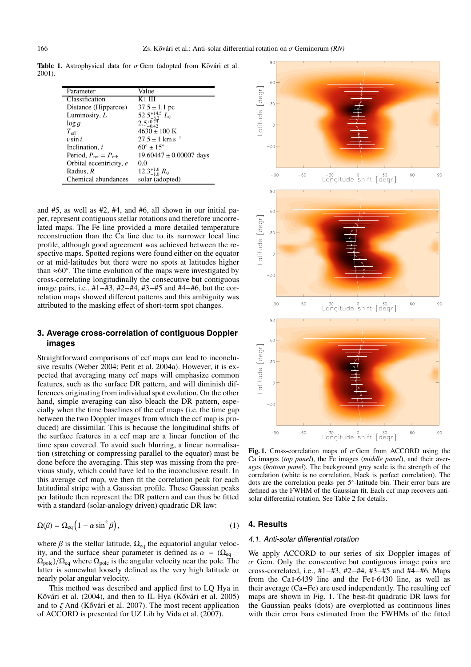**Table 1.** Astrophysical data for  $\sigma$  Gem (adopted from Kővári et al. 2001).

| Parameter                                 | Value                                                                             |
|-------------------------------------------|-----------------------------------------------------------------------------------|
| Classification                            | K1 III                                                                            |
| Distance (Hipparcos)                      | $37.5 \pm 1.1$ pc                                                                 |
| Luminosity, $L$                           |                                                                                   |
| $\log q$                                  | 52.5 <sup>+14.5</sup> $L_{\odot}$<br>2.5 <sup>+0.23</sup><br>2.5 <sup>-0.23</sup> |
| $T_{\rm eff}$                             | $4630 \pm 100$ K                                                                  |
| $v \sin i$                                | $27.5 \pm 1$ km s <sup>-1</sup>                                                   |
| Inclination, i                            | $60^\circ \pm 15^\circ$                                                           |
| Period, $P_{\text{rot}} = P_{\text{orb}}$ | $19.60447 \pm 0.00007$ days                                                       |
| Orbital eccentricity, e                   | 0.0                                                                               |
| Radius, R                                 | $12.3_{-1.0}^{+1.6} R_{\odot}$                                                    |
| Chemical abundances                       | solar (adopted)                                                                   |

and #5, as well as #2, #4, and #6, all shown in our initial paper, represent contiguous stellar rotations and therefore uncorrelated maps. The Fe line provided a more detailed temperature reconstruction than the Ca line due to its narrower local line profile, although good agreement was achieved between the respective maps. Spotted regions were found either on the equator or at mid-latitudes but there were no spots at latitudes higher than  $\approx 60^\circ$ . The time evolution of the maps were investigated by cross-correlating longitudinally the consecutive but contiguous image pairs, i.e., #1−#3, #2−#4, #3−#5 and #4−#6, but the correlation maps showed different patterns and this ambiguity was attributed to the masking effect of short-term spot changes.

# **3. Average cross-correlation of contiguous Doppler images**

Straightforward comparisons of ccf maps can lead to inconclusive results (Weber 2004; Petit et al. 2004a). However, it is expected that averaging many ccf maps will emphasize common features, such as the surface DR pattern, and will diminish differences originating from individual spot evolution. On the other hand, simple averaging can also bleach the DR pattern, especially when the time baselines of the ccf maps (i.e. the time gap between the two Doppler images from which the ccf map is produced) are dissimilar. This is because the longitudinal shifts of the surface features in a ccf map are a linear function of the time span covered. To avoid such blurring, a linear normalisation (stretching or compressing parallel to the equator) must be done before the averaging. This step was missing from the previous study, which could have led to the inconclusive result. In this average ccf map, we then fit the correlation peak for each latitudinal stripe with a Gaussian profile. These Gaussian peaks per latitude then represent the DR pattern and can thus be fitted with a standard (solar-analogy driven) quadratic DR law:

$$
\Omega(\beta) = \Omega_{\text{eq}} \left( 1 - \alpha \sin^2 \beta \right),\tag{1}
$$

where  $\beta$  is the stellar latitude,  $\Omega_{eq}$  the equatorial angular velocity, and the surface shear parameter is defined as  $\alpha = (\Omega_{\text{eq}} \Omega_{\text{pole}}$ )/ $\Omega_{\text{eq}}$  where  $\Omega_{\text{pole}}$  is the angular velocity near the pole. The latter is somewhat loosely defined as the very high latitude or nearly polar angular velocity.

This method was described and applied first to LQ Hya in Kővári et al. (2004), and then to IL Hya (Kővári et al. 2005) and to  $\zeta$  And (Kővári et al. 2007). The most recent application of ACCORD is presented for UZ Lib by Vida et al. (2007).



**Fig. 1.** Cross-correlation maps of  $\sigma$  Gem from ACCORD using the Ca images (*top panel*), the Fe images (*middle panel*), and their averages (*bottom panel*). The background grey scale is the strength of the correlation (white is no correlation, black is perfect correlation). The dots are the correlation peaks per 5◦-latitude bin. Their error bars are defined as the FWHM of the Gaussian fit. Each ccf map recovers antisolar differential rotation. See Table 2 for details.

## **4. Results**

#### 4.1. Anti-solar differential rotation

We apply ACCORD to our series of six Doppler images of  $\sigma$  Gem. Only the consecutive but contiguous image pairs are cross-correlated, i.e., #1−#3, #2−#4, #3−#5 and #4−#6. Maps from the Ca i-6439 line and the Fe i-6430 line, as well as their average (Ca+Fe) are used independently. The resulting ccf maps are shown in Fig. 1. The best-fit quadratic DR laws for the Gaussian peaks (dots) are overplotted as continuous lines with their error bars estimated from the FWHMs of the fitted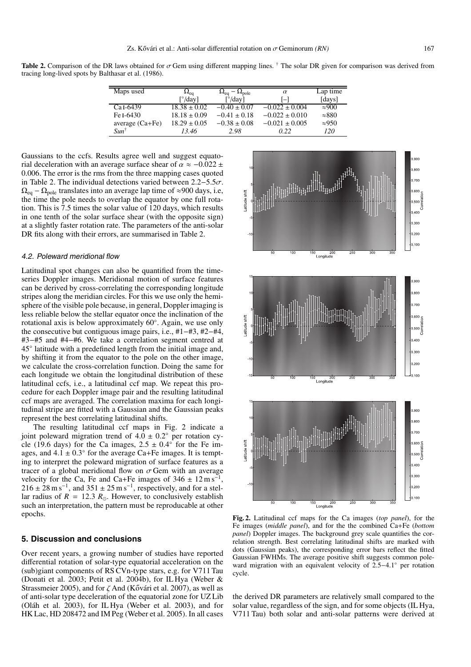**Table 2.** Comparison of the DR laws obtained for σ Gem using different mapping lines. † The solar DR given for comparison was derived from tracing long-lived spots by Balthasar et al. (1986).

| Maps used             | $\Omega_{\rm eq}$                 | $\Omega_{\text{eq}} - \Omega_{\text{pole}}$ | $\alpha$           | Lap time      |
|-----------------------|-----------------------------------|---------------------------------------------|--------------------|---------------|
|                       | $\lceil^{\circ}/\text{day}\rceil$ | $\lceil^{\circ}/\text{day}\rceil$           | $ - $              | [days]        |
| Ca <sub>I</sub> -6439 | $18.38 \pm 0.02$                  | $-0.40 \pm 0.07$                            | $-0.022 \pm 0.004$ | $\approx 900$ |
| Fe I-6430             | $18.18 \pm 0.09$                  | $-0.41 \pm 0.18$                            | $-0.022 \pm 0.010$ | $\approx 880$ |
| average $(Ca + Fe)$   | $18.29 \pm 0.05$                  | $-0.38 \pm 0.08$                            | $-0.021 \pm 0.005$ | $\approx 950$ |
| $Sun^{\dagger}$       | 13.46                             | 2.98                                        | 0.22               | 120           |

Gaussians to the ccfs. Results agree well and suggest equatorial deceleration with an average surface shear of  $\alpha \approx -0.022 \pm$ <sup>0</sup>.006. The error is the rms from the three mapping cases quoted in Table 2. The individual detections varied between  $2.2 - 5.5\sigma$ .  $\Omega_{\text{eq}} - \Omega_{\text{pole}}$  translates into an average lap time of ≈900 days, i.e, the time the pole needs to overlap the equator by one full rotation. This is 7.5 times the solar value of 120 days, which results in one tenth of the solar surface shear (with the opposite sign) at a slightly faster rotation rate. The parameters of the anti-solar DR fits along with their errors, are summarised in Table 2.

#### 4.2. Poleward meridional flow

Latitudinal spot changes can also be quantified from the timeseries Doppler images. Meridional motion of surface features can be derived by cross-correlating the corresponding longitude stripes along the meridian circles. For this we use only the hemisphere of the visible pole because, in general, Doppler imaging is less reliable below the stellar equator once the inclination of the rotational axis is below approximately 60◦. Again, we use only the consecutive but contiguous image pairs, i.e., #1−#3, #2−#4, #3−#5 and #4−#6. We take a correlation segment centred at 45◦ latitude with a predefined length from the initial image and, by shifting it from the equator to the pole on the other image, we calculate the cross-correlation function. Doing the same for each longitude we obtain the longitudinal distribution of these latitudinal ccfs, i.e., a latitudinal ccf map. We repeat this procedure for each Doppler image pair and the resulting latitudinal ccf maps are averaged. The correlation maxima for each longitudinal stripe are fitted with a Gaussian and the Gaussian peaks represent the best correlating latitudinal shifts.

The resulting latitudinal ccf maps in Fig. 2 indicate a joint poleward migration trend of  $4.\overline{0} \pm 0.2^\circ$  per rotation cycle (19.6 days) for the Ca images,  $2.5 \pm 0.4^\circ$  for the Fe images, and  $4.1 \pm 0.3^{\circ}$  for the average Ca+Fe images. It is tempting to interpret the poleward migration of surface features as a tracer of a global meridional flow on  $\sigma$  Gem with an average velocity for the Ca, Fe and Ca+Fe images of  $346 \pm 12 \text{ m s}^{-1}$  $216 \pm 28$  m s<sup>-1</sup>, and  $351 \pm 25$  m s<sup>-1</sup>, respectively, and for a stellar radius of  $R = 12.3 R_{\odot}$ . However, to conclusively establish such an interpretation, the pattern must be reproducable at other epochs.

## **5. Discussion and conclusions**

Over recent years, a growing number of studies have reported differential rotation of solar-type equatorial acceleration on the (sub)giant components of RS CVn-type stars, e.g. for V711 Tau (Donati et al. 2003; Petit et al. 2004b), for IL Hya (Weber & Strassmeier 2005), and for  $\zeta$  And (Kővári et al. 2007), as well as of anti-solar type deceleration of the equatorial zone for UZ Lib (Oláh et al. 2003), for IL Hya (Weber et al. 2003), and for HK Lac, HD 208472 and IM Peg (Weber et al. 2005). In all cases



**Fig. 2.** Latitudinal ccf maps for the Ca images (*top panel*), for the Fe images (*middle panel*), and for the the combined Ca+Fe (*bottom panel*) Doppler images. The background grey scale quantifies the correlation strength. Best correlating latitudinal shifts are marked with dots (Gaussian peaks), the corresponding error bars reflect the fitted Gaussian FWHMs. The average positive shift suggests common poleward migration with an equivalent velocity of 2.5−4.1◦ per rotation cycle.

the derived DR parameters are relatively small compared to the solar value, regardless of the sign, and for some objects (IL Hya, V711 Tau) both solar and anti-solar patterns were derived at